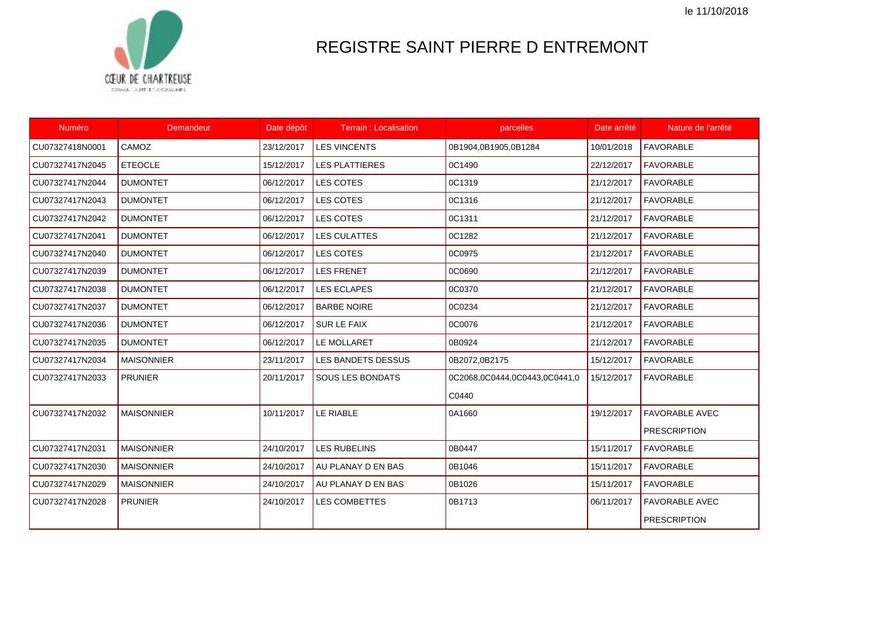le 11/10/2018



## REGISTRE SAINT PIERRE D ENTREMONT

| <b>Numéro</b>   | <b>Demandeur</b>  | Date dépôt | <b>Terrain: Localisation</b> | parcelles                     | Date arrêté | Nature de l'arrêté    |
|-----------------|-------------------|------------|------------------------------|-------------------------------|-------------|-----------------------|
| CU07327418N0001 | CAMOZ             | 23/12/2017 | <b>LES VINCENTS</b>          | 0B1904,0B1905,0B1284          | 10/01/2018  | <b>FAVORABLE</b>      |
| CU07327417N2045 | <b>ETEOCLE</b>    | 15/12/2017 | <b>LES PLATTIERES</b>        | 0C1490                        | 22/12/2017  | <b>FAVORABLE</b>      |
| CU07327417N2044 | <b>DUMONTET</b>   | 06/12/2017 | <b>LES COTES</b>             | 0C1319                        | 21/12/2017  | <b>FAVORABLE</b>      |
| CU07327417N2043 | <b>DUMONTET</b>   | 06/12/2017 | <b>LES COTES</b>             | 0C1316                        | 21/12/2017  | <b>FAVORABLE</b>      |
| CU07327417N2042 | <b>DUMONTET</b>   | 06/12/2017 | <b>LES COTES</b>             | 0C1311                        | 21/12/2017  | <b>FAVORABLE</b>      |
| CU07327417N2041 | <b>DUMONTET</b>   | 06/12/2017 | <b>LES CULATTES</b>          | 0C1282                        | 21/12/2017  | <b>FAVORABLE</b>      |
| CU07327417N2040 | <b>DUMONTET</b>   | 06/12/2017 | <b>LES COTES</b>             | 0C0975                        | 21/12/2017  | <b>FAVORABLE</b>      |
| CU07327417N2039 | <b>DUMONTET</b>   | 06/12/2017 | <b>LES FRENET</b>            | 0C0690                        | 21/12/2017  | <b>FAVORABLE</b>      |
| CU07327417N2038 | <b>DUMONTET</b>   | 06/12/2017 | <b>LES ECLAPES</b>           | 0C0370                        | 21/12/2017  | <b>FAVORABLE</b>      |
| CU07327417N2037 | <b>DUMONTET</b>   | 06/12/2017 | <b>BARBE NOIRE</b>           | 0C0234                        | 21/12/2017  | <b>FAVORABLE</b>      |
| CU07327417N2036 | <b>DUMONTET</b>   | 06/12/2017 | <b>SUR LE FAIX</b>           | 0C0076                        | 21/12/2017  | <b>FAVORABLE</b>      |
| CU07327417N2035 | <b>DUMONTET</b>   | 06/12/2017 | LE MOLLARET                  | 0B0924                        | 21/12/2017  | <b>FAVORABLE</b>      |
| CU07327417N2034 | <b>MAISONNIER</b> | 23/11/2017 | <b>LES BANDETS DESSUS</b>    | 0B2072,0B2175                 | 15/12/2017  | <b>FAVORABLE</b>      |
| CU07327417N2033 | <b>PRUNIER</b>    | 20/11/2017 | <b>SOUS LES BONDATS</b>      | 0C2068,0C0444,0C0443,0C0441,0 | 15/12/2017  | <b>FAVORABLE</b>      |
|                 |                   |            |                              | C0440                         |             |                       |
| CU07327417N2032 | <b>MAISONNIER</b> | 10/11/2017 | LE RIABLE                    | 0A1660                        | 19/12/2017  | <b>FAVORABLE AVEC</b> |
|                 |                   |            |                              |                               |             | <b>PRESCRIPTION</b>   |
| CU07327417N2031 | <b>MAISONNIER</b> | 24/10/2017 | <b>LES RUBELINS</b>          | 0B0447                        | 15/11/2017  | <b>FAVORABLE</b>      |
| CU07327417N2030 | <b>MAISONNIER</b> | 24/10/2017 | AU PLANAY D EN BAS           | 0B1046                        | 15/11/2017  | <b>FAVORABLE</b>      |
| CU07327417N2029 | <b>MAISONNIER</b> | 24/10/2017 | AU PLANAY D EN BAS           | 0B1026                        | 15/11/2017  | <b>FAVORABLE</b>      |
| CU07327417N2028 | <b>PRUNIER</b>    | 24/10/2017 | <b>LES COMBETTES</b>         | 0B1713                        | 06/11/2017  | <b>FAVORABLE AVEC</b> |
|                 |                   |            |                              |                               |             | <b>PRESCRIPTION</b>   |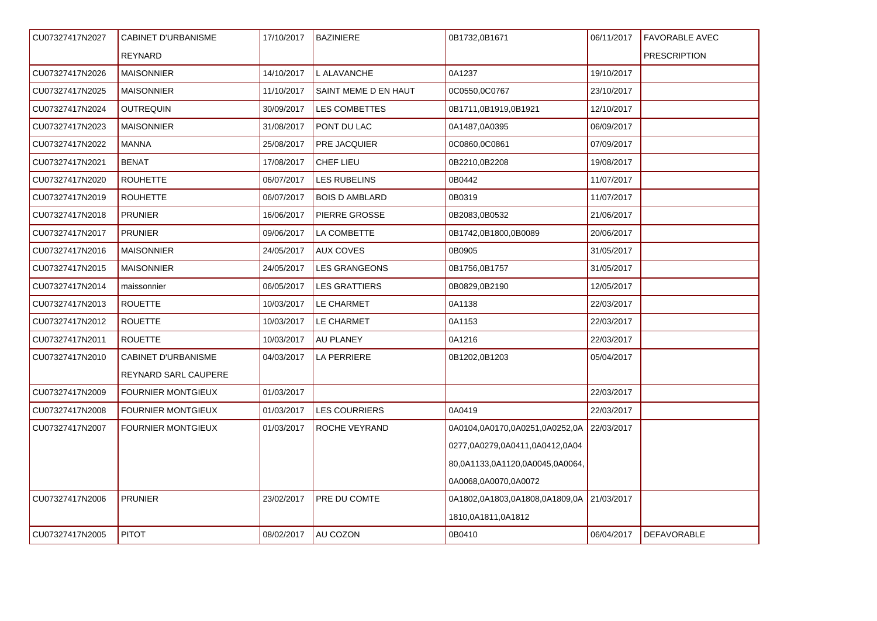| CU07327417N2027 | <b>CABINET D'URBANISME</b> | 17/10/2017 | <b>BAZINIERE</b>      | 0B1732,0B1671                             | 06/11/2017 | <b>FAVORABLE AVEC</b> |
|-----------------|----------------------------|------------|-----------------------|-------------------------------------------|------------|-----------------------|
|                 | <b>REYNARD</b>             |            |                       |                                           |            | <b>PRESCRIPTION</b>   |
| CU07327417N2026 | <b>MAISONNIER</b>          | 14/10/2017 | L ALAVANCHE           | 0A1237                                    | 19/10/2017 |                       |
| CU07327417N2025 | <b>MAISONNIER</b>          | 11/10/2017 | SAINT MEME D EN HAUT  | 0C0550,0C0767                             | 23/10/2017 |                       |
| CU07327417N2024 | <b>OUTREQUIN</b>           | 30/09/2017 | <b>LES COMBETTES</b>  | 0B1711,0B1919,0B1921                      | 12/10/2017 |                       |
| CU07327417N2023 | <b>MAISONNIER</b>          | 31/08/2017 | PONT DU LAC           | 0A1487,0A0395                             | 06/09/2017 |                       |
| CU07327417N2022 | <b>MANNA</b>               | 25/08/2017 | PRE JACQUIER          | 0C0860,0C0861                             | 07/09/2017 |                       |
| CU07327417N2021 | <b>BENAT</b>               | 17/08/2017 | CHEF LIEU             | 0B2210,0B2208                             | 19/08/2017 |                       |
| CU07327417N2020 | <b>ROUHETTE</b>            | 06/07/2017 | LES RUBELINS          | 0B0442                                    | 11/07/2017 |                       |
| CU07327417N2019 | <b>ROUHETTE</b>            | 06/07/2017 | <b>BOIS D AMBLARD</b> | 0B0319                                    | 11/07/2017 |                       |
| CU07327417N2018 | <b>PRUNIER</b>             | 16/06/2017 | <b>PIERRE GROSSE</b>  | 0B2083,0B0532                             | 21/06/2017 |                       |
| CU07327417N2017 | <b>PRUNIER</b>             | 09/06/2017 | LA COMBETTE           | 0B1742,0B1800,0B0089                      | 20/06/2017 |                       |
| CU07327417N2016 | <b>MAISONNIER</b>          | 24/05/2017 | <b>AUX COVES</b>      | 0B0905                                    | 31/05/2017 |                       |
| CU07327417N2015 | <b>MAISONNIER</b>          | 24/05/2017 | <b>LES GRANGEONS</b>  | 0B1756,0B1757                             | 31/05/2017 |                       |
| CU07327417N2014 | maissonnier                | 06/05/2017 | <b>LES GRATTIERS</b>  | 0B0829,0B2190                             | 12/05/2017 |                       |
| CU07327417N2013 | <b>ROUETTE</b>             | 10/03/2017 | LE CHARMET            | 0A1138                                    | 22/03/2017 |                       |
| CU07327417N2012 | <b>ROUETTE</b>             | 10/03/2017 | LE CHARMET            | 0A1153                                    | 22/03/2017 |                       |
| CU07327417N2011 | <b>ROUETTE</b>             | 10/03/2017 | AU PLANEY             | 0A1216                                    | 22/03/2017 |                       |
| CU07327417N2010 | <b>CABINET D'URBANISME</b> | 04/03/2017 | LA PERRIERE           | 0B1202,0B1203                             | 05/04/2017 |                       |
|                 | REYNARD SARL CAUPERE       |            |                       |                                           |            |                       |
| CU07327417N2009 | <b>FOURNIER MONTGIEUX</b>  | 01/03/2017 |                       |                                           | 22/03/2017 |                       |
| CU07327417N2008 | <b>FOURNIER MONTGIEUX</b>  | 01/03/2017 | <b>LES COURRIERS</b>  | 0A0419                                    | 22/03/2017 |                       |
| CU07327417N2007 | <b>FOURNIER MONTGIEUX</b>  | 01/03/2017 | ROCHE VEYRAND         | 0A0104,0A0170,0A0251,0A0252,0A            | 22/03/2017 |                       |
|                 |                            |            |                       | 0277,0A0279,0A0411,0A0412,0A04            |            |                       |
|                 |                            |            |                       | 80,0A1133,0A1120,0A0045,0A0064,           |            |                       |
|                 |                            |            |                       | 0A0068,0A0070,0A0072                      |            |                       |
| CU07327417N2006 | <b>PRUNIER</b>             | 23/02/2017 | PRE DU COMTE          | 0A1802,0A1803,0A1808,0A1809,0A 21/03/2017 |            |                       |
|                 |                            |            |                       | 1810,0A1811,0A1812                        |            |                       |
| CU07327417N2005 | <b>PITOT</b>               | 08/02/2017 | <b>AU COZON</b>       | 0B0410                                    | 06/04/2017 | <b>DEFAVORABLE</b>    |